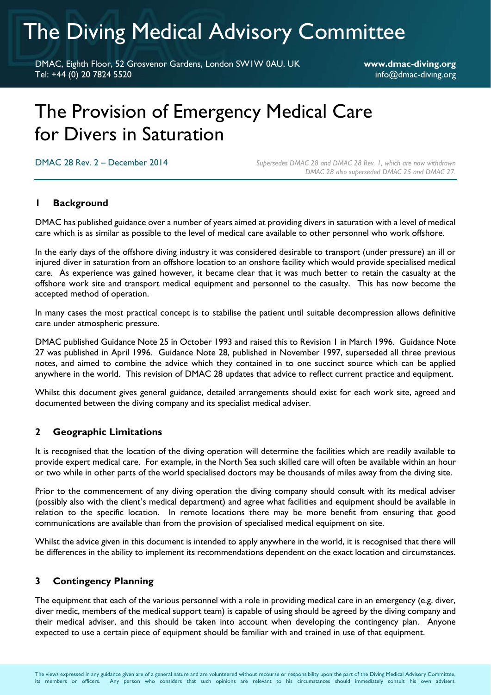# The Diving Medical Advisory Committee

DMAC, Eighth Floor, 52 Grosvenor Gardens, London SW1W 0AU, UK **www.dmac-diving.org** Tel: +44 (0) 20 7824 5520 info@dmac-diving.org

# The Provision of Emergency Medical Care for Divers in Saturation

DMAC 28 Rev. 2 – December 2014 *Supersedes DMAC 28 and DMAC 28 Rev. 1, which are now withdrawn DMAC 28 also superseded DMAC 25 and DMAC 27.*

# **1 Background**

DMAC has published guidance over a number of years aimed at providing divers in saturation with a level of medical care which is as similar as possible to the level of medical care available to other personnel who work offshore.

In the early days of the offshore diving industry it was considered desirable to transport (under pressure) an ill or injured diver in saturation from an offshore location to an onshore facility which would provide specialised medical care. As experience was gained however, it became clear that it was much better to retain the casualty at the offshore work site and transport medical equipment and personnel to the casualty. This has now become the accepted method of operation.

In many cases the most practical concept is to stabilise the patient until suitable decompression allows definitive care under atmospheric pressure.

DMAC published Guidance Note 25 in October 1993 and raised this to Revision 1 in March 1996. Guidance Note 27 was published in April 1996. Guidance Note 28, published in November 1997, superseded all three previous notes, and aimed to combine the advice which they contained in to one succinct source which can be applied anywhere in the world. This revision of DMAC 28 updates that advice to reflect current practice and equipment.

Whilst this document gives general guidance, detailed arrangements should exist for each work site, agreed and documented between the diving company and its specialist medical adviser.

### **2 Geographic Limitations**

It is recognised that the location of the diving operation will determine the facilities which are readily available to provide expert medical care. For example, in the North Sea such skilled care will often be available within an hour or two while in other parts of the world specialised doctors may be thousands of miles away from the diving site.

Prior to the commencement of any diving operation the diving company should consult with its medical adviser (possibly also with the client's medical department) and agree what facilities and equipment should be available in relation to the specific location. In remote locations there may be more benefit from ensuring that good communications are available than from the provision of specialised medical equipment on site.

Whilst the advice given in this document is intended to apply anywhere in the world, it is recognised that there will be differences in the ability to implement its recommendations dependent on the exact location and circumstances.

### **3 Contingency Planning**

The equipment that each of the various personnel with a role in providing medical care in an emergency (e.g. diver, diver medic, members of the medical support team) is capable of using should be agreed by the diving company and their medical adviser, and this should be taken into account when developing the contingency plan. Anyone expected to use a certain piece of equipment should be familiar with and trained in use of that equipment.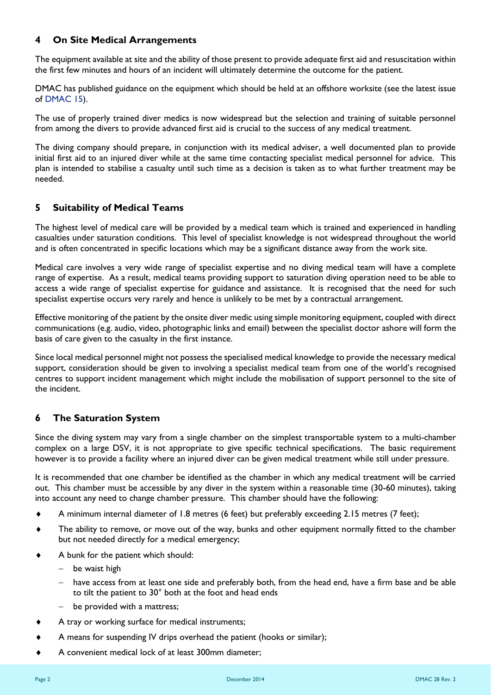# **4 On Site Medical Arrangements**

The equipment available at site and the ability of those present to provide adequate first aid and resuscitation within the first few minutes and hours of an incident will ultimately determine the outcome for the patient.

DMAC has published guidance on the equipment which should be held at an offshore worksite (see the latest issue of [DMAC 15\)](http://www.dmac-diving.org/guidance/DMAC15.pdf).

The use of properly trained diver medics is now widespread but the selection and training of suitable personnel from among the divers to provide advanced first aid is crucial to the success of any medical treatment.

The diving company should prepare, in conjunction with its medical adviser, a well documented plan to provide initial first aid to an injured diver while at the same time contacting specialist medical personnel for advice. This plan is intended to stabilise a casualty until such time as a decision is taken as to what further treatment may be needed.

#### **5 Suitability of Medical Teams**

The highest level of medical care will be provided by a medical team which is trained and experienced in handling casualties under saturation conditions. This level of specialist knowledge is not widespread throughout the world and is often concentrated in specific locations which may be a significant distance away from the work site.

Medical care involves a very wide range of specialist expertise and no diving medical team will have a complete range of expertise. As a result, medical teams providing support to saturation diving operation need to be able to access a wide range of specialist expertise for guidance and assistance. It is recognised that the need for such specialist expertise occurs very rarely and hence is unlikely to be met by a contractual arrangement.

Effective monitoring of the patient by the onsite diver medic using simple monitoring equipment, coupled with direct communications (e.g. audio, video, photographic links and email) between the specialist doctor ashore will form the basis of care given to the casualty in the first instance.

Since local medical personnel might not possess the specialised medical knowledge to provide the necessary medical support, consideration should be given to involving a specialist medical team from one of the world's recognised centres to support incident management which might include the mobilisation of support personnel to the site of the incident.

### **6 The Saturation System**

Since the diving system may vary from a single chamber on the simplest transportable system to a multi-chamber complex on a large DSV, it is not appropriate to give specific technical specifications. The basic requirement however is to provide a facility where an injured diver can be given medical treatment while still under pressure.

It is recommended that one chamber be identified as the chamber in which any medical treatment will be carried out. This chamber must be accessible by any diver in the system within a reasonable time (30-60 minutes), taking into account any need to change chamber pressure. This chamber should have the following:

- A minimum internal diameter of 1.8 metres (6 feet) but preferably exceeding 2.15 metres (7 feet);
- The ability to remove, or move out of the way, bunks and other equipment normally fitted to the chamber but not needed directly for a medical emergency;
- A bunk for the patient which should:
	- be waist high
	- have access from at least one side and preferably both, from the head end, have a firm base and be able to tilt the patient to 30° both at the foot and head ends
	- be provided with a mattress;
- A tray or working surface for medical instruments;
- A means for suspending IV drips overhead the patient (hooks or similar);
- A convenient medical lock of at least 300mm diameter;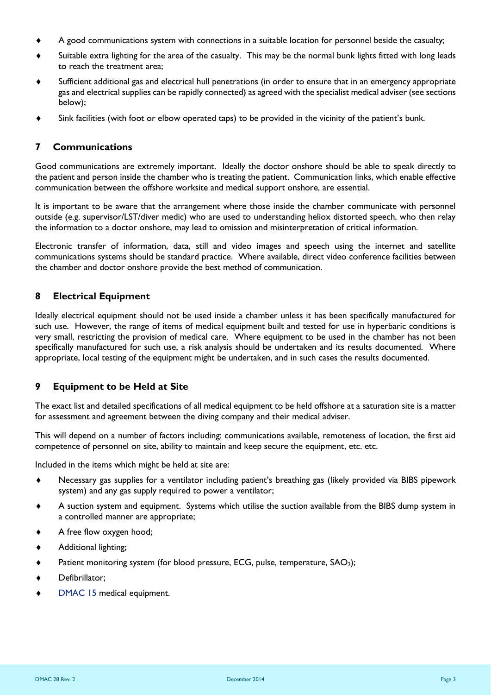- A good communications system with connections in a suitable location for personnel beside the casualty;
- Suitable extra lighting for the area of the casualty. This may be the normal bunk lights fitted with long leads to reach the treatment area;
- Sufficient additional gas and electrical hull penetrations (in order to ensure that in an emergency appropriate gas and electrical supplies can be rapidly connected) as agreed with the specialist medical adviser (see sections below);
- Sink facilities (with foot or elbow operated taps) to be provided in the vicinity of the patient's bunk.

#### **7 Communications**

Good communications are extremely important. Ideally the doctor onshore should be able to speak directly to the patient and person inside the chamber who is treating the patient. Communication links, which enable effective communication between the offshore worksite and medical support onshore, are essential.

It is important to be aware that the arrangement where those inside the chamber communicate with personnel outside (e.g. supervisor/LST/diver medic) who are used to understanding heliox distorted speech, who then relay the information to a doctor onshore, may lead to omission and misinterpretation of critical information.

Electronic transfer of information, data, still and video images and speech using the internet and satellite communications systems should be standard practice. Where available, direct video conference facilities between the chamber and doctor onshore provide the best method of communication.

#### **8 Electrical Equipment**

Ideally electrical equipment should not be used inside a chamber unless it has been specifically manufactured for such use. However, the range of items of medical equipment built and tested for use in hyperbaric conditions is very small, restricting the provision of medical care. Where equipment to be used in the chamber has not been specifically manufactured for such use, a risk analysis should be undertaken and its results documented. Where appropriate, local testing of the equipment might be undertaken, and in such cases the results documented.

### **9 Equipment to be Held at Site**

The exact list and detailed specifications of all medical equipment to be held offshore at a saturation site is a matter for assessment and agreement between the diving company and their medical adviser.

This will depend on a number of factors including: communications available, remoteness of location, the first aid competence of personnel on site, ability to maintain and keep secure the equipment, etc. etc.

Included in the items which might be held at site are:

- Necessary gas supplies for a ventilator including patient's breathing gas (likely provided via BIBS pipework system) and any gas supply required to power a ventilator;
- A suction system and equipment. Systems which utilise the suction available from the BIBS dump system in a controlled manner are appropriate;
- A free flow oxygen hood;
- Additional lighting;
- Patient monitoring system (for blood pressure, ECG, pulse, temperature, SAO<sub>2</sub>);
- Defibrillator;
- [DMAC 15](http://www.dmac-diving.org/guidance/DMAC15.pdf) medical equipment.